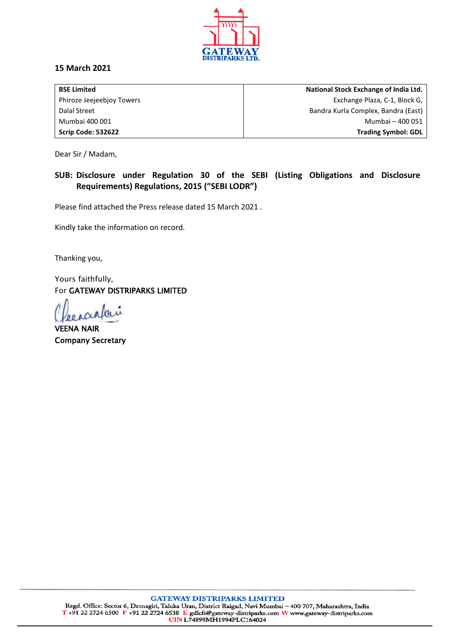

## **15 March 2021**

| <b>BSE Limited</b>        | National Stock Exchange of India Ltd. |
|---------------------------|---------------------------------------|
| Phiroze Jeejeebjoy Towers | Exchange Plaza, C-1, Block G,         |
| Dalal Street              | Bandra Kurla Complex, Bandra (East)   |
| Mumbai 400 001            | Mumbai - 400 051                      |
| Scrip Code: 532622        | <b>Trading Symbol: GDL</b>            |

Dear Sir / Madam,

## **SUB: Disclosure under Regulation 30 of the SEBI (Listing Obligations and Disclosure Requirements) Regulations, 2015 ("SEBI LODR")**

Please find attached the Press release dated 15 March 2021 .

Kindly take the information on record.

Thanking you,

Yours faithfully, For GATEWAY DISTRIPARKS LIMITED

VEENA NAIR Company Secretary